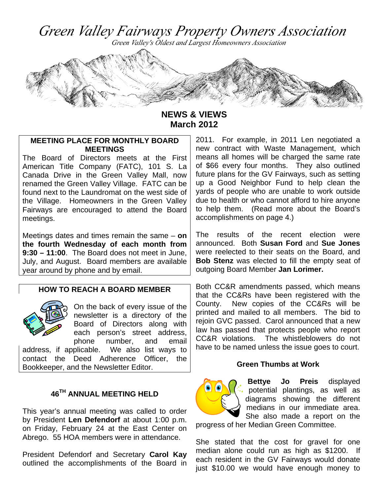Green Valley Fairways Property Owners Association

Green Valley's Oldest and Largest Homeowners Association



**NEWS & VIEWS March 2012** 

## **MEETING PLACE FOR MONTHLY BOARD MEETINGS**

The Board of Directors meets at the First American Title Company (FATC), 101 S. La Canada Drive in the Green Valley Mall, now renamed the Green Valley Village. FATC can be found next to the Laundromat on the west side of the Village. Homeowners in the Green Valley Fairways are encouraged to attend the Board meetings.

Meetings dates and times remain the same – **on the fourth Wednesday of each month from 9:30 – 11:00**. The Board does not meet in June, July, and August. Board members are available year around by phone and by email.

## **HOW TO REACH A BOARD MEMBER**



On the back of every issue of the newsletter is a directory of the Board of Directors along with each person's street address, phone number, and email

address, if applicable. We also list ways to contact the Deed Adherence Officer, the Bookkeeper, and the Newsletter Editor.

## **46TH ANNUAL MEETING HELD**

This year's annual meeting was called to order by President **Len Defendorf** at about 1:00 p.m. on Friday, February 24 at the East Center on Abrego. 55 HOA members were in attendance.

President Defendorf and Secretary **Carol Kay** outlined the accomplishments of the Board in 2011. For example, in 2011 Len negotiated a new contract with Waste Management, which means all homes will be charged the same rate of \$66 every four months. They also outlined future plans for the GV Fairways, such as setting up a Good Neighbor Fund to help clean the yards of people who are unable to work outside due to health or who cannot afford to hire anyone to help them. (Read more about the Board's accomplishments on page 4.)

The results of the recent election were announced. Both **Susan Ford** and **Sue Jones** were reelected to their seats on the Board, and **Bob Stenz** was elected to fill the empty seat of outgoing Board Member **Jan Lorimer.** 

Both CC&R amendments passed, which means that the CC&Rs have been registered with the County. New copies of the CC&Rs will be printed and mailed to all members. The bid to rejoin GVC passed. Carol announced that a new law has passed that protects people who report CC&R violations. The whistleblowers do not have to be named unless the issue goes to court.

#### **Green Thumbs at Work**



**Bettye Jo Preis** displayed potential plantings, as well as diagrams showing the different medians in our immediate area. She also made a report on the

progress of her Median Green Committee.

She stated that the cost for gravel for one median alone could run as high as \$1200. If each resident in the GV Fairways would donate just \$10.00 we would have enough money to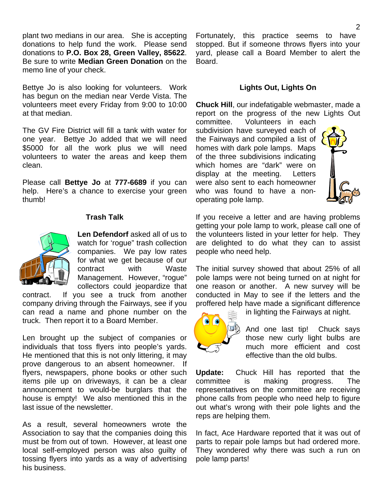plant two medians in our area. She is accepting donations to help fund the work. Please send donations to **P.O. Box 28, Green Valley, 85622**. Be sure to write **Median Green Donation** on the memo line of your check.

Bettye Jo is also looking for volunteers. Work has begun on the median near Verde Vista. The volunteers meet every Friday from 9:00 to 10:00 at that median.

The GV Fire District will fill a tank with water for one year. Bettye Jo added that we will need \$5000 for all the work plus we will need volunteers to water the areas and keep them clean.

Please call **Bettye Jo** at **777-6689** if you can help. Here's a chance to exercise your green thumb!

### **Trash Talk**



**Len Defendorf** asked all of us to watch for 'rogue" trash collection companies. We pay low rates for what we get because of our contract with Waste Management. However, "rogue" collectors could jeopardize that

contract. If you see a truck from another company driving through the Fairways, see if you can read a name and phone number on the truck. Then report it to a Board Member.

Len brought up the subject of companies or individuals that toss flyers into people's yards. He mentioned that this is not only littering, it may prove dangerous to an absent homeowner. If flyers, newspapers, phone books or other such items pile up on driveways, it can be a clear announcement to would-be burglars that the house is empty! We also mentioned this in the last issue of the newsletter.

As a result, several homeowners wrote the Association to say that the companies doing this must be from out of town. However, at least one local self-employed person was also guilty of tossing flyers into yards as a way of advertising his business.

Fortunately, this practice seems to have stopped. But if someone throws flyers into your yard, please call a Board Member to alert the Board.

### **Lights Out, Lights On**

**Chuck Hill**, our indefatigable webmaster, made a report on the progress of the new Lights Out committee. Volunteers in each

subdivision have surveyed each of the Fairways and compiled a list of homes with dark pole lamps. Maps of the three subdivisions indicating which homes are "dark" were on display at the meeting. Letters were also sent to each homeowner who was found to have a nonoperating pole lamp.



If you receive a letter and are having problems getting your pole lamp to work, please call one of the volunteers listed in your letter for help. They are delighted to do what they can to assist people who need help.

The initial survey showed that about 25% of all pole lamps were not being turned on at night for one reason or another. A new survey will be conducted in May to see if the letters and the proffered help have made a significant difference



in lighting the Fairways at night.

And one last tip! Chuck says those new curly light bulbs are much more efficient and cost effective than the old bulbs.

**Update:** Chuck Hill has reported that the committee is making progress. The representatives on the committee are receiving phone calls from people who need help to figure out what's wrong with their pole lights and the reps are helping them.

In fact, Ace Hardware reported that it was out of parts to repair pole lamps but had ordered more. They wondered why there was such a run on pole lamp parts!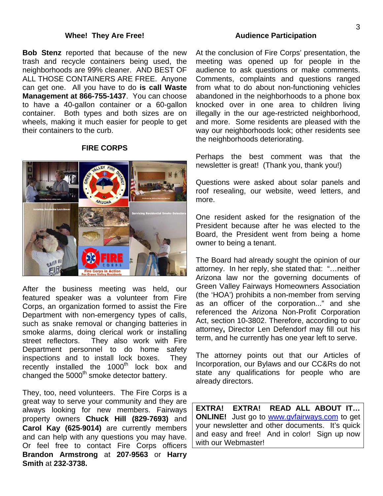#### **Whee! They Are Free!**

**Bob Stenz** reported that because of the new trash and recycle containers being used, the neighborhoods are 99% cleaner. AND BEST OF ALL THOSE CONTAINERS ARE FREE. Anyone can get one. All you have to do **is call Waste Management at 866-755-1437**. You can choose to have a 40-gallon container or a 60-gallon container. Both types and both sizes are on wheels, making it much easier for people to get their containers to the curb.

### **FIRE CORPS**



After the business meeting was held, our featured speaker was a volunteer from Fire Corps, an organization formed to assist the Fire Department with non-emergency types of calls, such as snake removal or changing batteries in smoke alarms, doing clerical work or installing street reflectors. They also work with Fire Department personnel to do home safety inspections and to install lock boxes. They recently installed the 1000<sup>th</sup> lock box and changed the  $5000<sup>th</sup>$  smoke detector battery.

They, too, need volunteers. The Fire Corps is a great way to serve your community and they are always looking for new members. Fairways property owners **Chuck Hill (829‐7693)** and **Carol Kay (625‐9014)** are currently members and can help with any questions you may have. Or feel free to contact Fire Corps officers **Brandon Armstrong** at **207‐9563** or **Harry Smith** at **232‐3738.** 

#### **Audience Participation**

At the conclusion of Fire Corps' presentation, the meeting was opened up for people in the audience to ask questions or make comments. Comments, complaints and questions ranged from what to do about non-functioning vehicles abandoned in the neighborhoods to a phone box knocked over in one area to children living illegally in the our age-restricted neighborhood, and more. Some residents are pleased with the way our neighborhoods look; other residents see the neighborhoods deteriorating.

Perhaps the best comment was that the newsletter is great! (Thank you, thank you!)

Questions were asked about solar panels and roof resealing, our website, weed letters, and more.

One resident asked for the resignation of the President because after he was elected to the Board, the President went from being a home owner to being a tenant.

The Board had already sought the opinion of our attorney. In her reply, she stated that: "…neither Arizona law nor the governing documents of Green Valley Fairways Homeowners Association (the 'HOA') prohibits a non-member from serving as an officer of the corporation..." and she referenced the Arizona Non-Profit Corporation Act, section 10-3802. Therefore, according to our attorney**,** Director Len Defendorf may fill out his term, and he currently has one year left to serve.

The attorney points out that our Articles of Incorporation, our Bylaws and our CC&Rs do not state any qualifications for people who are already directors.

**EXTRA! EXTRA! READ ALL ABOUT IT… ONLINE!** Just go to www.gvfairways.com to get your newsletter and other documents. It's quick and easy and free! And in color! Sign up now with our Webmaster!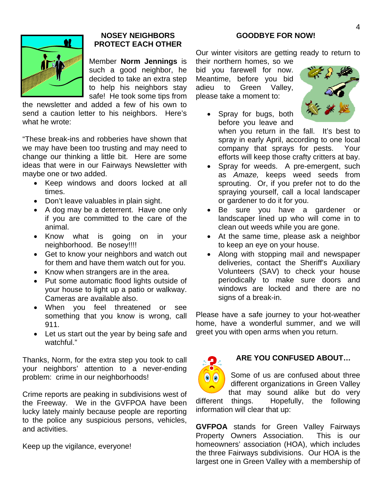

# **NOSEY NEIGHBORS PROTECT EACH OTHER**

Member **Norm Jennings** is such a good neighbor, he decided to take an extra step to help his neighbors stay safe! He took some tips from

the newsletter and added a few of his own to send a caution letter to his neighbors. Here's what he wrote:

"These break-ins and robberies have shown that we may have been too trusting and may need to change our thinking a little bit. Here are some ideas that were in our Fairways Newsletter with maybe one or two added.

- Keep windows and doors locked at all times.
- Don't leave valuables in plain sight.
- A dog may be a deterrent. Have one only if you are committed to the care of the animal.
- Know what is going on in your neighborhood. Be nosey!!!!
- Get to know your neighbors and watch out for them and have them watch out for you.
- Know when strangers are in the area.
- Put some automatic flood lights outside of your house to light up a patio or walkway. Cameras are available also.
- When you feel threatened or see something that you know is wrong, call 911.
- Let us start out the year by being safe and watchful."

Thanks, Norm, for the extra step you took to call your neighbors' attention to a never-ending problem: crime in our neighborhoods!

Crime reports are peaking in subdivisions west of the Freeway. We in the GVFPOA have been lucky lately mainly because people are reporting to the police any suspicious persons, vehicles, and activities.

Keep up the vigilance, everyone!

## **GOODBYE FOR NOW!**

Our winter visitors are getting ready to return to their northern homes, so we

bid you farewell for now. Meantime, before you bid adieu to Green Valley, please take a moment to:

 Spray for bugs, both before you leave and



when you return in the fall. It's best to spray in early April, according to one local company that sprays for pests. Your efforts will keep those crafty critters at bay.

- Spray for weeds. A pre-emergent, such as *Amaze,* keeps weed seeds from sprouting. Or, if you prefer not to do the spraying yourself, call a local landscaper or gardener to do it for you.
- Be sure you have a gardener or landscaper lined up who will come in to clean out weeds while you are gone.
- At the same time, please ask a neighbor to keep an eye on your house.
- Along with stopping mail and newspaper deliveries, contact the Sheriff's Auxiliary Volunteers (SAV) to check your house periodically to make sure doors and windows are locked and there are no signs of a break-in.

Please have a safe journey to your hot-weather home, have a wonderful summer, and we will greet you with open arms when you return.



# **ARE YOU CONFUSED ABOUT…**

Some of us are confused about three different organizations in Green Valley that may sound alike but do very different things. Hopefully, the following information will clear that up:

**GVFPOA** stands for Green Valley Fairways Property Owners Association. This is our homeowners' association (HOA), which includes the three Fairways subdivisions. Our HOA is the largest one in Green Valley with a membership of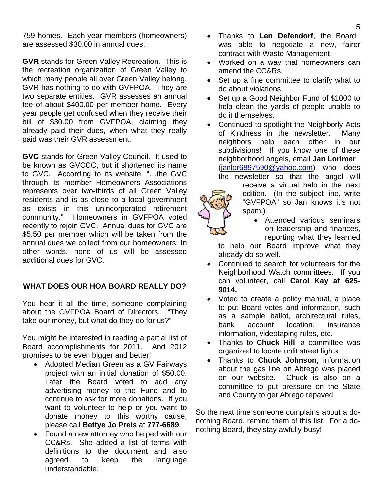759 homes. Each year members (homeowners) are assessed \$30.00 in annual dues.

**GVR** stands for Green Valley Recreation. This is the recreation organization of Green Valley to which many people all over Green Valley belong. GVR has nothing to do with GVFPOA. They are two separate entities. GVR assesses an annual fee of about \$400.00 per member home. Every year people get confused when they receive their bill of \$30.00 from GVFPOA, claiming they already paid their dues, when what they really paid was their GVR assessment.

**GVC** stands for Green Valley Council.It used to be known as GVCCC, but it shortened its name to GVC. According to its website, "…the GVC through its member Homeowners Associations represents over two-thirds of all Green Valley residents and is as close to a local government as exists in this unincorporated retirement community." Homeowners in GVFPOA voted recently to rejoin GVC. Annual dues for GVC are \$5.50 per member which will be taken from the annual dues we collect from our homeowners. In other words, none of us will be assessed additional dues for GVC.

## **WHAT DOES OUR HOA BOARD REALLY DO?**

You hear it all the time, someone complaining about the GVFPOA Board of Directors. "They take our money, but what do they do for us?"

You might be interested in reading a partial list of Board accomplishments for 2011. And 2012 promises to be even bigger and better!

- Adopted Median Green as a GV Fairways project with an initial donation of \$50.00. Later the Board voted to add any advertising money to the Fund and to continue to ask for more donations. If you want to volunteer to help or you want to donate money to this worthy cause, please call **Bettye Jo Preis** at **777-6689**.
- Found a new attorney who helped with our CC&Rs. She added a list of terms with definitions to the document and also agreed to keep the language understandable.
- Thanks to **Len Defendorf**, the Board was able to negotiate a new, fairer contract with Waste Management.
- Worked on a way that homeowners can amend the CC&Rs.
- Set up a fine committee to clarify what to do about violations.
- Set up a Good Neighbor Fund of \$1000 to help clean the yards of people unable to do it themselves.

• Continued to spotlight the Neighborly Acts of Kindness in the newsletter. Many neighbors help each other in our subdivisions! If you know one of these neighborhood angels, email **Jan Lorimer** (janlor6897590@yahoo.com) who does the newsletter so that the angel will



- receive a virtual halo in the next edition. (In the subject line, write "GVFPOA" so Jan knows it's not spam.)
	- Attended various seminars on leadership and finances, reporting what they learned

to help our Board improve what they already do so well.

- Continued to search for volunteers for the Neighborhood Watch committees. If you can volunteer, call **Carol Kay at 625- 9014.**
- Voted to create a policy manual, a place to put Board votes and information, such as a sample ballot, architectural rules, bank account location, insurance information, videotaping rules, etc.
- Thanks to **Chuck Hill**, a committee was organized to locate unlit street lights.
- Thanks to **Chuck Johnson**, information about the gas line on Abrego was placed on our website. Chuck is also on a committee to put pressure on the State and County to get Abrego repaved.

So the next time someone complains about a donothing Board, remind them of this list. For a donothing Board, they stay awfully busy!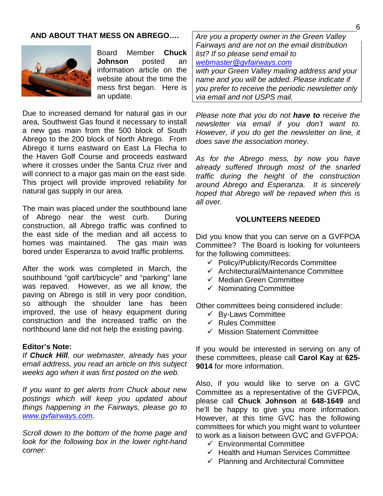### **AND ABOUT THAT MESS ON ABREGO….**



Board Member **Chuck Johnson** posted an information article on the website about the time the mess first began. Here is an update.

Due to increased demand for natural gas in our area, Southwest Gas found it necessary to install a new gas main from the 500 block of South Abrego to the 200 block of North Abrego. From Abrego it turns eastward on East La Flecha to the Haven Golf Course and proceeds eastward where it crosses under the Santa Cruz river and will connect to a major gas main on the east side. This project will provide improved reliability for natural gas supply in our area.

The main was placed under the southbound lane of Abrego near the west curb. During construction, all Abrego traffic was confined to the east side of the median and all access to homes was maintained. The gas main was bored under Esperanza to avoid traffic problems.

After the work was completed in March, the southbound "golf cart/bicycle" and "parking" lane was repaved. However, as we all know, the paving on Abrego is still in very poor condition, so although the shoulder lane has been improved, the use of heavy equipment during construction and the increased traffic on the northbound lane did not help the existing paving.

#### **Editor's Note:**

*If Chuck Hill, our webmaster, already has your email address, you read an article on this subject weeks ago when it was first posted on the web.* 

*If you want to get alerts from Chuck about new postings which will keep you updated about things happening in the Fairways, please go to www.gvfairways.com.* 

*Scroll down to the bottom of the home page and look for the following box in the lower right-hand corner:* 

*Are you a property owner in the Green Valley Fairways and are not on the email distribution list? If so please send email to webmaster@gvfairways.com with your Green Valley mailing address and your name and you will be added. Please indicate if you prefer to receive the periodic newsletter only* 

*via email and not USPS mail.* 

*Please note that you do not have to receive the newsletter via email if you don't want to. However, if you do get the newsletter on line, it does save the association money.* 

*As for the Abrego mess, by now you have already suffered through most of the snarled traffic during the height of the construction around Abrego and Esperanza. It is sincerely hoped that Abrego will be repaved when this is all over.* 

### **VOLUNTEERS NEEDED**

Did you know that you can serve on a GVFPOA Committee? The Board is looking for volunteers for the following committees:

- $\checkmark$  Policy/Publicity/Records Committee
- $\checkmark$  Architectural/Maintenance Committee
- $\checkmark$  Median Green Committee
- $\checkmark$  Nominating Committee

Other committees being considered include:

- $\checkmark$  By-Laws Committee
- $\checkmark$  Rules Committee
- $\checkmark$  Mission Statement Committee

If you would be interested in serving on any of these committees, please call **Carol Kay** at **625- 9014** for more information.

Also, if you would like to serve on a GVC Committee as a representative of the GVFPOA, please call **Chuck Johnson** at **648-1649** and he'll be happy to give you more information. However, at this time GVC has the following committees for which you might want to volunteer to work as a liaison between GVC and GVFPOA:

- $\checkmark$  Environmental Committee
- $\checkmark$  Health and Human Services Committee
- $\checkmark$  Planning and Architectural Committee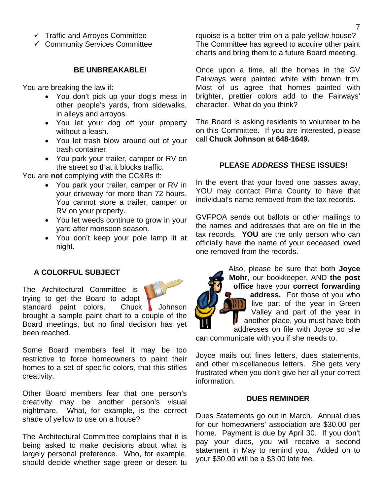- $\checkmark$  Traffic and Arroyos Committee
- $\checkmark$  Community Services Committee

#### **BE UNBREAKABLE!**

You are breaking the law if:

- You don't pick up your dog's mess in other people's yards, from sidewalks, in alleys and arroyos.
- You let your dog off your property without a leash.
- You let trash blow around out of your trash container.
- You park your trailer, camper or RV on the street so that it blocks traffic.

You are **not** complying with the CC&Rs if:

- You park your trailer, camper or RV in your driveway for more than 72 hours. You cannot store a trailer, camper or RV on your property.
- You let weeds continue to grow in your yard after monsoon season.
- You don't keep your pole lamp lit at night.

## **A COLORFUL SUBJECT**

The Architectural Committee is trying to get the Board to adopt

standard paint colors. Chuck Johnson brought a sample paint chart to a couple of the Board meetings, but no final decision has yet been reached.

Some Board members feel it may be too restrictive to force homeowners to paint their homes to a set of specific colors, that this stifles creativity.

Other Board members fear that one person's creativity may be another person's visual nightmare. What, for example, is the correct shade of yellow to use on a house?

The Architectural Committee complains that it is being asked to make decisions about what is largely personal preference. Who, for example, should decide whether sage green or desert tu rquoise is a better trim on a pale yellow house? The Committee has agreed to acquire other paint charts and bring them to a future Board meeting.

Once upon a time, all the homes in the GV Fairways were painted white with brown trim. Most of us agree that homes painted with brighter, prettier colors add to the Fairways' character. What do you think?

The Board is asking residents to volunteer to be on this Committee. If you are interested, please call **Chuck Johnson** at **648-1649.** 

#### **PLEASE** *ADDRESS* **THESE ISSUES!**

In the event that your loved one passes away, YOU may contact Pima County to have that individual's name removed from the tax records.

GVFPOA sends out ballots or other mailings to the names and addresses that are on file in the tax records. **YOU** are the only person who can officially have the name of your deceased loved one removed from the records.

> Also, please be sure that both **Joyce Mohr**, our bookkeeper, AND **the post office** have your **correct forwarding address.** For those of you who  $\frac{1}{2}$  live part of the year in Green Valley and part of the year in **A** another place, you must have both addresses on file with Joyce so she

can communicate with you if she needs to.

Joyce mails out fines letters, dues statements, and other miscellaneous letters. She gets very frustrated when you don't give her all your correct information.

#### **DUES REMINDER**

Dues Statements go out in March. Annual dues for our homeowners' association are \$30.00 per home. Payment is due by April 30. If you don't pay your dues, you will receive a second statement in May to remind you. Added on to your \$30.00 will be a \$3.00 late fee.

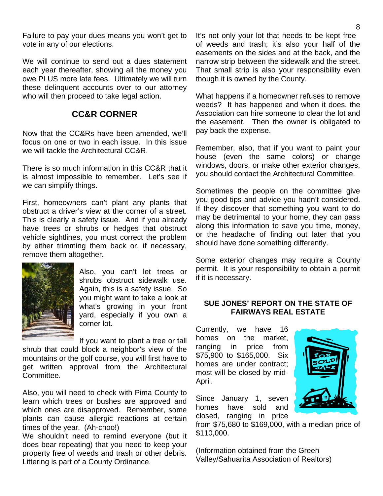Failure to pay your dues means you won't get to vote in any of our elections.

We will continue to send out a dues statement each year thereafter, showing all the money you owe PLUS more late fees. Ultimately we will turn these delinquent accounts over to our attorney who will then proceed to take legal action.

# **CC&R CORNER**

Now that the CC&Rs have been amended, we'll focus on one or two in each issue. In this issue we will tackle the Architectural CC&R

There is so much information in this CC&R that it is almost impossible to remember. Let's see if we can simplify things.

First, homeowners can't plant any plants that obstruct a driver's view at the corner of a street. This is clearly a safety issue. And if you already have trees or shrubs or hedges that obstruct vehicle sightlines, you must correct the problem by either trimming them back or, if necessary, remove them altogether.



Also, you can't let trees or shrubs obstruct sidewalk use. Again, this is a safety issue. So you might want to take a look at what's growing in your front yard, especially if you own a corner lot.

If you want to plant a tree or tall shrub that could block a neighbor's view of the mountains or the golf course, you will first have to get written approval from the Architectural Committee.

Also, you will need to check with Pima County to learn which trees or bushes are approved and which ones are disapproved. Remember, some plants can cause allergic reactions at certain times of the year. (Ah-choo!)

We shouldn't need to remind everyone (but it does bear repeating) that you need to keep your property free of weeds and trash or other debris. Littering is part of a County Ordinance.

It's not only your lot that needs to be kept free of weeds and trash; it's also your half of the easements on the sides and at the back, and the narrow strip between the sidewalk and the street. That small strip is also your responsibility even though it is owned by the County.

What happens if a homeowner refuses to remove weeds? It has happened and when it does, the Association can hire someone to clear the lot and the easement. Then the owner is obligated to pay back the expense.

Remember, also, that if you want to paint your house (even the same colors) or change windows, doors, or make other exterior changes, you should contact the Architectural Committee.

Sometimes the people on the committee give you good tips and advice you hadn't considered. If they discover that something you want to do may be detrimental to your home, they can pass along this information to save you time, money, or the headache of finding out later that you should have done something differently.

Some exterior changes may require a County permit. It is your responsibility to obtain a permit if it is necessary.

## **SUE JONES' REPORT ON THE STATE OF FAIRWAYS REAL ESTATE**

Currently, we have 16 homes on the market, ranging in price from \$75,900 to \$165,000. Six homes are under contract; most will be closed by mid-April.

Since January 1, seven homes have sold and closed, ranging in price

from \$75,680 to \$169,000, with a median price of \$110,000.

(Information obtained from the Green Valley/Sahuarita Association of Realtors)

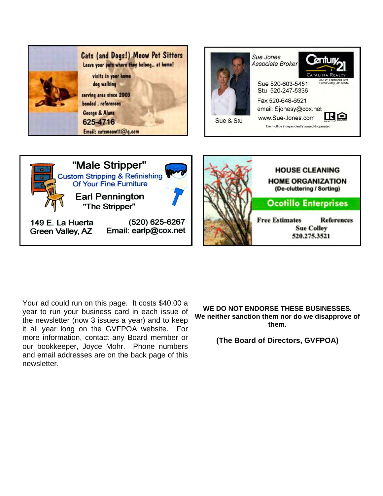

149 E. La Huerta **Green Valley, AZ** 

(520) 625-6267 Email: earlp@cox.net

**WE DO NOT ENDORSE THESE BUSINESSES.** 

**Free Estimates** 

**References** 

**Sue Colley** 

520.275.3521

**We neither sanction them nor do we disapprove of them.** 

**(The Board of Directors, GVFPOA)** 

Your ad could run on this page. It costs \$40.00 a year to run your business card in each issue of the newsletter (now 3 issues a year) and to keep it all year long on the GVFPOA website. For more information, contact any Board member or our bookkeeper, Joyce Mohr. Phone numbers and email addresses are on the back page of this newsletter.